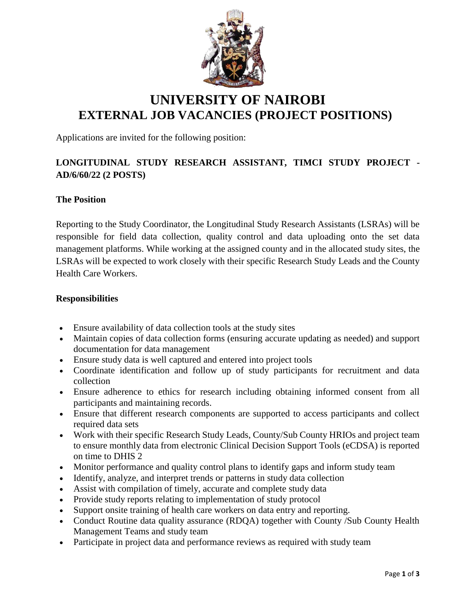

# **UNIVERSITY OF NAIROBI EXTERNAL JOB VACANCIES (PROJECT POSITIONS)**

Applications are invited for the following position:

# **LONGITUDINAL STUDY RESEARCH ASSISTANT, TIMCI STUDY PROJECT - AD/6/60/22 (2 POSTS)**

### **The Position**

Reporting to the Study Coordinator, the Longitudinal Study Research Assistants (LSRAs) will be responsible for field data collection, quality control and data uploading onto the set data management platforms. While working at the assigned county and in the allocated study sites, the LSRAs will be expected to work closely with their specific Research Study Leads and the County Health Care Workers.

#### **Responsibilities**

- Ensure availability of data collection tools at the study sites
- Maintain copies of data collection forms (ensuring accurate updating as needed) and support documentation for data management
- Ensure study data is well captured and entered into project tools
- Coordinate identification and follow up of study participants for recruitment and data collection
- Ensure adherence to ethics for research including obtaining informed consent from all participants and maintaining records.
- Ensure that different research components are supported to access participants and collect required data sets
- Work with their specific Research Study Leads, County/Sub County HRIOs and project team to ensure monthly data from electronic Clinical Decision Support Tools (eCDSA) is reported on time to DHIS 2
- Monitor performance and quality control plans to identify gaps and inform study team
- Identify, analyze, and interpret trends or patterns in study data collection
- Assist with compilation of timely, accurate and complete study data
- Provide study reports relating to implementation of study protocol
- Support onsite training of health care workers on data entry and reporting.
- Conduct Routine data quality assurance (RDQA) together with County /Sub County Health Management Teams and study team
- Participate in project data and performance reviews as required with study team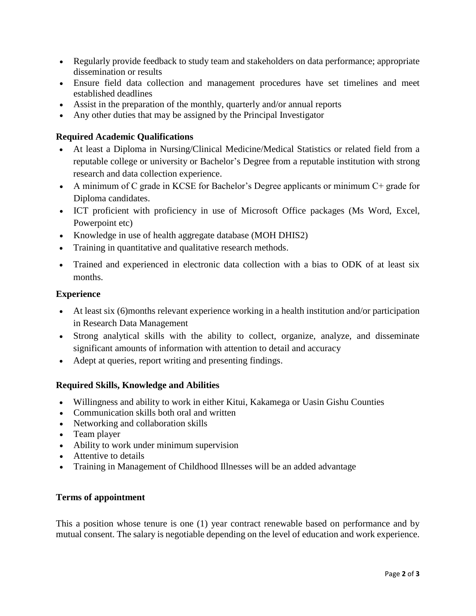- Regularly provide feedback to study team and stakeholders on data performance; appropriate dissemination or results
- Ensure field data collection and management procedures have set timelines and meet established deadlines
- Assist in the preparation of the monthly, quarterly and/or annual reports
- Any other duties that may be assigned by the Principal Investigator

#### **Required Academic Qualifications**

- At least a Diploma in Nursing/Clinical Medicine/Medical Statistics or related field from a reputable college or university or Bachelor's Degree from a reputable institution with strong research and data collection experience.
- A minimum of C grade in KCSE for Bachelor's Degree applicants or minimum C+ grade for Diploma candidates.
- ICT proficient with proficiency in use of Microsoft Office packages (Ms Word, Excel, Powerpoint etc)
- Knowledge in use of health aggregate database (MOH DHIS2)
- Training in quantitative and qualitative research methods.
- Trained and experienced in electronic data collection with a bias to ODK of at least six months.

#### **Experience**

- At least six (6)months relevant experience working in a health institution and/or participation in Research Data Management
- Strong analytical skills with the ability to collect, organize, analyze, and disseminate significant amounts of information with attention to detail and accuracy
- Adept at queries, report writing and presenting findings.

#### **Required Skills, Knowledge and Abilities**

- Willingness and ability to work in either Kitui, Kakamega or Uasin Gishu Counties
- Communication skills both oral and written
- Networking and collaboration skills
- Team player
- Ability to work under minimum supervision
- Attentive to details
- Training in Management of Childhood Illnesses will be an added advantage

#### **Terms of appointment**

This a position whose tenure is one (1) year contract renewable based on performance and by mutual consent. The salary is negotiable depending on the level of education and work experience.